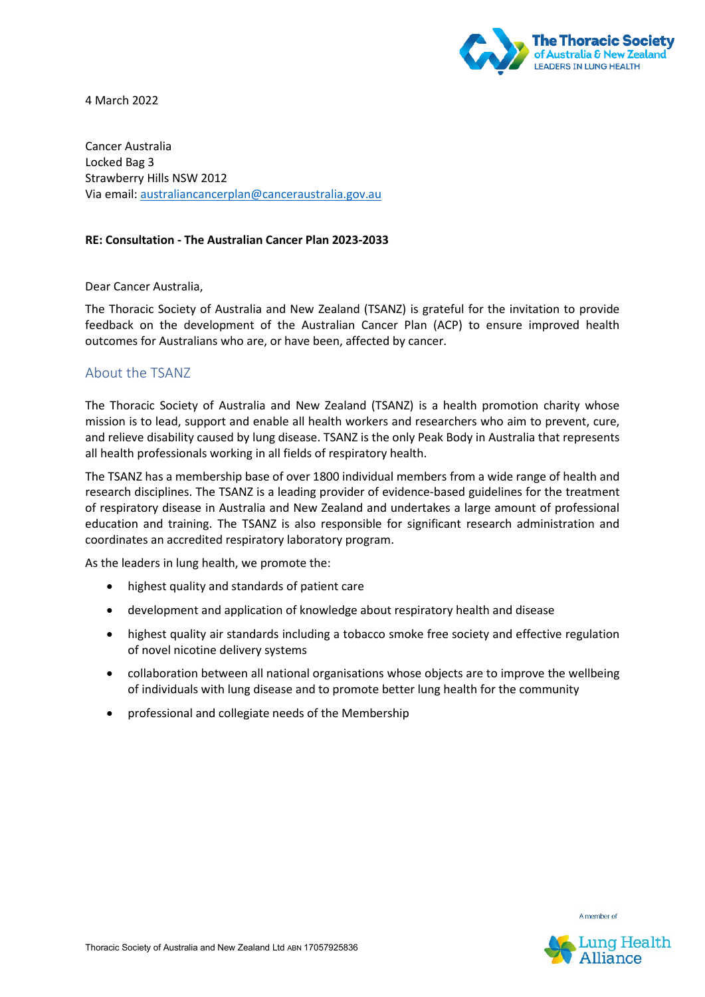

4 March 2022

Cancer Australia Locked Bag 3 Strawberry Hills NSW 2012 Via email[: australiancancerplan@canceraustralia.gov.au](mailto:australiancancerplan@canceraustralia.gov.au)

#### **RE: Consultation - The Australian Cancer Plan 2023-2033**

Dear Cancer Australia,

The Thoracic Society of Australia and New Zealand (TSANZ) is grateful for the invitation to provide feedback on the development of the Australian Cancer Plan (ACP) to ensure improved health outcomes for Australians who are, or have been, affected by cancer.

# About the TSANZ

The Thoracic Society of Australia and New Zealand (TSANZ) is a health promotion charity whose mission is to lead, support and enable all health workers and researchers who aim to prevent, cure, and relieve disability caused by lung disease. TSANZ is the only Peak Body in Australia that represents all health professionals working in all fields of respiratory health.

The TSANZ has a membership base of over 1800 individual members from a wide range of health and research disciplines. The TSANZ is a leading provider of evidence-based guidelines for the treatment of respiratory disease in Australia and New Zealand and undertakes a large amount of professional education and training. The TSANZ is also responsible for significant research administration and coordinates an accredited respiratory laboratory program.

As the leaders in lung health, we promote the:

- highest quality and standards of patient care
- development and application of knowledge about respiratory health and disease
- highest quality air standards including a tobacco smoke free society and effective regulation of novel nicotine delivery systems
- collaboration between all national organisations whose objects are to improve the wellbeing of individuals with lung disease and to promote better lung health for the community
- professional and collegiate needs of the Membership

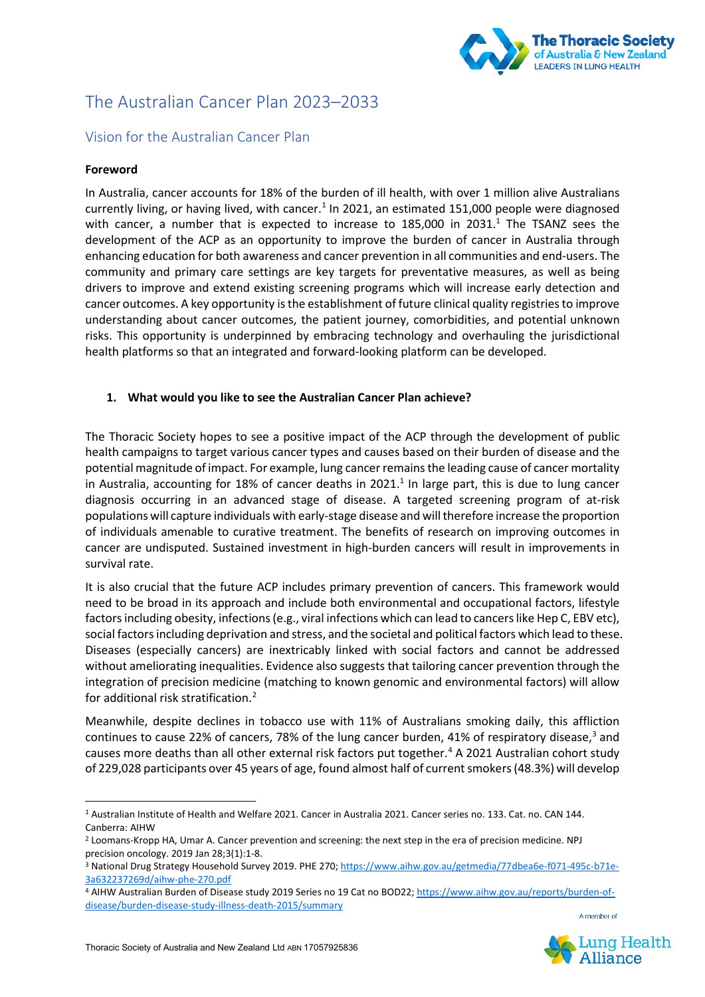

# The Australian Cancer Plan 2023–2033

# Vision for the Australian Cancer Plan

#### **Foreword**

In Australia, cancer accounts for 18% of the burden of ill health, with over 1 million alive Australians currently living, or having lived, with cancer.<sup>[1](#page-1-0)</sup> In 2021, an estimated 151,000 people were diagnosed with cancer, a number that is expected to increase to  $185,000$  in  $2031<sup>1</sup>$  The TSANZ sees the development of the ACP as an opportunity to improve the burden of cancer in Australia through enhancing education for both awareness and cancer prevention in all communities and end-users. The community and primary care settings are key targets for preventative measures, as well as being drivers to improve and extend existing screening programs which will increase early detection and cancer outcomes. A key opportunity isthe establishment of future clinical quality registries to improve understanding about cancer outcomes, the patient journey, comorbidities, and potential unknown risks. This opportunity is underpinned by embracing technology and overhauling the jurisdictional health platforms so that an integrated and forward-looking platform can be developed.

# **1. What would you like to see the Australian Cancer Plan achieve?**

The Thoracic Society hopes to see a positive impact of the ACP through the development of public health campaigns to target various cancer types and causes based on their burden of disease and the potential magnitude of impact. For example, lung cancer remains the leading cause of cancer mortality in Australia, accounting for 18% of cancer deaths in 2021. $<sup>1</sup>$  In large part, this is due to lung cancer</sup> diagnosis occurring in an advanced stage of disease. A targeted screening program of at-risk populations will capture individuals with early-stage disease and will therefore increase the proportion of individuals amenable to curative treatment. The benefits of research on improving outcomes in cancer are undisputed. Sustained investment in high-burden cancers will result in improvements in survival rate.

It is also crucial that the future ACP includes primary prevention of cancers. This framework would need to be broad in its approach and include both environmental and occupational factors, lifestyle factors including obesity, infections (e.g., viral infections which can lead to cancers like Hep C, EBV etc), social factors including deprivation and stress, and the societal and political factors which lead to these. Diseases (especially cancers) are inextricably linked with social factors and cannot be addressed without ameliorating inequalities. Evidence also suggests that tailoring cancer prevention through the integration of precision medicine (matching to known genomic and environmental factors) will allow for additional risk stratification.[2](#page-1-1)

Meanwhile, despite declines in tobacco use with 11% of Australians smoking daily, this affliction continues to cause 22% of cancers, 78% of the lung cancer burden, 41% of respiratory disease,<sup>[3](#page-1-2)</sup> and causes more deaths than all other external risk factors put together.<sup>[4](#page-1-3)</sup> A 2021 Australian cohort study of 229,028 participants over 45 years of age, found almost half of current smokers (48.3%) will develop



<span id="page-1-0"></span><sup>1</sup> Australian Institute of Health and Welfare 2021. Cancer in Australia 2021. Cancer series no. 133. Cat. no. CAN 144. Canberra: AIHW

<span id="page-1-1"></span><sup>2</sup> Loomans-Kropp HA, Umar A. Cancer prevention and screening: the next step in the era of precision medicine. NPJ precision oncology. 2019 Jan 28;3(1):1-8.

<span id="page-1-2"></span><sup>3</sup> National Drug Strategy Household Survey 2019. PHE 270[; https://www.aihw.gov.au/getmedia/77dbea6e-f071-495c-b71e-](https://www.aihw.gov.au/getmedia/77dbea6e-f071-495c-b71e-3a632237269d/aihw-phe-270.pdf)[3a632237269d/aihw-phe-270.pdf](https://www.aihw.gov.au/getmedia/77dbea6e-f071-495c-b71e-3a632237269d/aihw-phe-270.pdf)

<span id="page-1-3"></span><sup>4</sup> AIHW Australian Burden of Disease study 2019 Series no 19 Cat no BOD22[; https://www.aihw.gov.au/reports/burden-of](https://www.aihw.gov.au/reports/burden-of-disease/burden-disease-study-illness-death-2015/summary)[disease/burden-disease-study-illness-death-2015/summary](https://www.aihw.gov.au/reports/burden-of-disease/burden-disease-study-illness-death-2015/summary)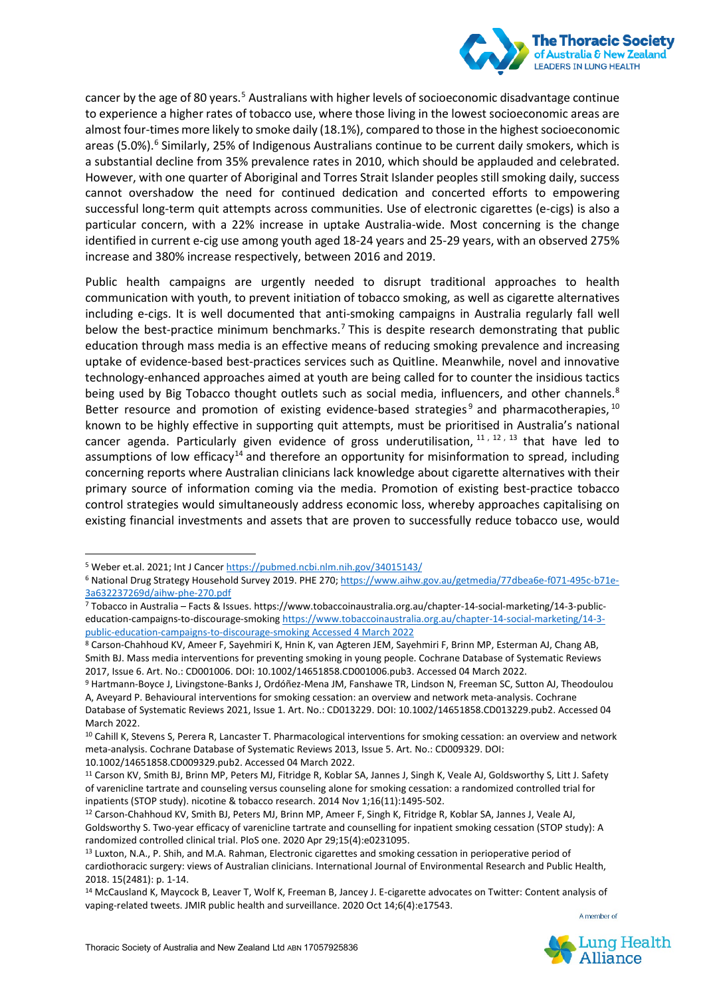

cancer by the age of 80 years.<sup>[5](#page-2-0)</sup> Australians with higher levels of socioeconomic disadvantage continue to experience a higher rates of tobacco use, where those living in the lowest socioeconomic areas are almost four-times more likely to smoke daily (18.1%), compared to those in the highest socioeconomic areas (5.0%).<sup>6</sup> Similarly, 25% of Indigenous Australians continue to be current daily smokers, which is a substantial decline from 35% prevalence rates in 2010, which should be applauded and celebrated. However, with one quarter of Aboriginal and Torres Strait Islander peoples still smoking daily, success cannot overshadow the need for continued dedication and concerted efforts to empowering successful long-term quit attempts across communities. Use of electronic cigarettes (e-cigs) is also a particular concern, with a 22% increase in uptake Australia-wide. Most concerning is the change identified in current e-cig use among youth aged 18-24 years and 25-29 years, with an observed 275% increase and 380% increase respectively, between 2016 and 2019.

Public health campaigns are urgently needed to disrupt traditional approaches to health communication with youth, to prevent initiation of tobacco smoking, as well as cigarette alternatives including e-cigs. It is well documented that anti-smoking campaigns in Australia regularly fall well below the best-practice minimum benchmarks.<sup>[7](#page-2-2)</sup> This is despite research demonstrating that public education through mass media is an effective means of reducing smoking prevalence and increasing uptake of evidence-based best-practices services such as Quitline. Meanwhile, novel and innovative technology-enhanced approaches aimed at youth are being called for to counter the insidious tactics being used by Big Tobacco thought outlets such as social media, influencers, and other channels.<sup>[8](#page-2-3)</sup> Better resource and promotion of existing evidence-based strategies<sup>[9](#page-2-4)</sup> and pharmacotherapies,  $^{10}$  $^{10}$  $^{10}$ known to be highly effective in supporting quit attempts, must be prioritised in Australia's national cancer agenda. Particularly given evidence of gross underutilisation,  $11, 12, 13$  $11, 12, 13$  $11, 12, 13$  $11, 12, 13$  $11, 12, 13$  that have led to assumptions of low efficacy<sup>[14](#page-2-9)</sup> and therefore an opportunity for misinformation to spread, including concerning reports where Australian clinicians lack knowledge about cigarette alternatives with their primary source of information coming via the media. Promotion of existing best-practice tobacco control strategies would simultaneously address economic loss, whereby approaches capitalising on existing financial investments and assets that are proven to successfully reduce tobacco use, would



<span id="page-2-0"></span><sup>5</sup> Weber et.al. 2021; Int J Cance[r https://pubmed.ncbi.nlm.nih.gov/34015143/](https://pubmed.ncbi.nlm.nih.gov/34015143/)

<span id="page-2-1"></span><sup>6</sup> National Drug Strategy Household Survey 2019. PHE 270[; https://www.aihw.gov.au/getmedia/77dbea6e-f071-495c-b71e-](https://www.aihw.gov.au/getmedia/77dbea6e-f071-495c-b71e-3a632237269d/aihw-phe-270.pdf)[3a632237269d/aihw-phe-270.pdf](https://www.aihw.gov.au/getmedia/77dbea6e-f071-495c-b71e-3a632237269d/aihw-phe-270.pdf)

<span id="page-2-2"></span><sup>7</sup> Tobacco in Australia – Facts & Issues. https://www.tobaccoinaustralia.org.au/chapter-14-social-marketing/14-3-publiceducation-campaigns-to-discourage-smokin[g https://www.tobaccoinaustralia.org.au/chapter-14-social-marketing/14-3](https://www.tobaccoinaustralia.org.au/chapter-14-social-marketing/14-3-public-education-campaigns-to-discourage-smoking) [public-education-campaigns-to-discourage-smoking](https://www.tobaccoinaustralia.org.au/chapter-14-social-marketing/14-3-public-education-campaigns-to-discourage-smoking) Accessed 4 March 2022

<span id="page-2-3"></span><sup>8</sup> Carson-Chahhoud KV, Ameer F, Sayehmiri K, Hnin K, van Agteren JEM, Sayehmiri F, Brinn MP, Esterman AJ, Chang AB, Smith BJ. Mass media interventions for preventing smoking in young people. Cochrane Database of Systematic Reviews 2017, Issue 6. Art. No.: CD001006. DOI: 10.1002/14651858.CD001006.pub3. Accessed 04 March 2022.

<span id="page-2-4"></span><sup>9</sup> Hartmann-Boyce J, Livingstone-Banks J, Ordóñez-Mena JM, Fanshawe TR, Lindson N, Freeman SC, Sutton AJ, Theodoulou A, Aveyard P. Behavioural interventions for smoking cessation: an overview and network meta-analysis. Cochrane Database of Systematic Reviews 2021, Issue 1. Art. No.: CD013229. DOI: 10.1002/14651858.CD013229.pub2. Accessed 04

March 2022.

<span id="page-2-5"></span><sup>&</sup>lt;sup>10</sup> Cahill K, Stevens S, Perera R, Lancaster T. Pharmacological interventions for smoking cessation: an overview and network meta-analysis. Cochrane Database of Systematic Reviews 2013, Issue 5. Art. No.: CD009329. DOI:

<sup>10.1002/14651858.</sup>CD009329.pub2. Accessed 04 March 2022.

<span id="page-2-6"></span><sup>11</sup> Carson KV, Smith BJ, Brinn MP, Peters MJ, Fitridge R, Koblar SA, Jannes J, Singh K, Veale AJ, Goldsworthy S, Litt J. Safety of varenicline tartrate and counseling versus counseling alone for smoking cessation: a randomized controlled trial for inpatients (STOP study). nicotine & tobacco research. 2014 Nov 1;16(11):1495-502.

<span id="page-2-7"></span><sup>12</sup> Carson-Chahhoud KV, Smith BJ, Peters MJ, Brinn MP, Ameer F, Singh K, Fitridge R, Koblar SA, Jannes J, Veale AJ, Goldsworthy S. Two-year efficacy of varenicline tartrate and counselling for inpatient smoking cessation (STOP study): A randomized controlled clinical trial. PloS one. 2020 Apr 29;15(4):e0231095.

<span id="page-2-8"></span><sup>13</sup> Luxton, N.A., P. Shih, and M.A. Rahman, Electronic cigarettes and smoking cessation in perioperative period of cardiothoracic surgery: views of Australian clinicians. International Journal of Environmental Research and Public Health, 2018. 15(2481): p. 1-14.

<span id="page-2-9"></span><sup>14</sup> McCausland K, Maycock B, Leaver T, Wolf K, Freeman B, Jancey J. E-cigarette advocates on Twitter: Content analysis of vaping-related tweets. JMIR public health and surveillance. 2020 Oct 14;6(4):e17543.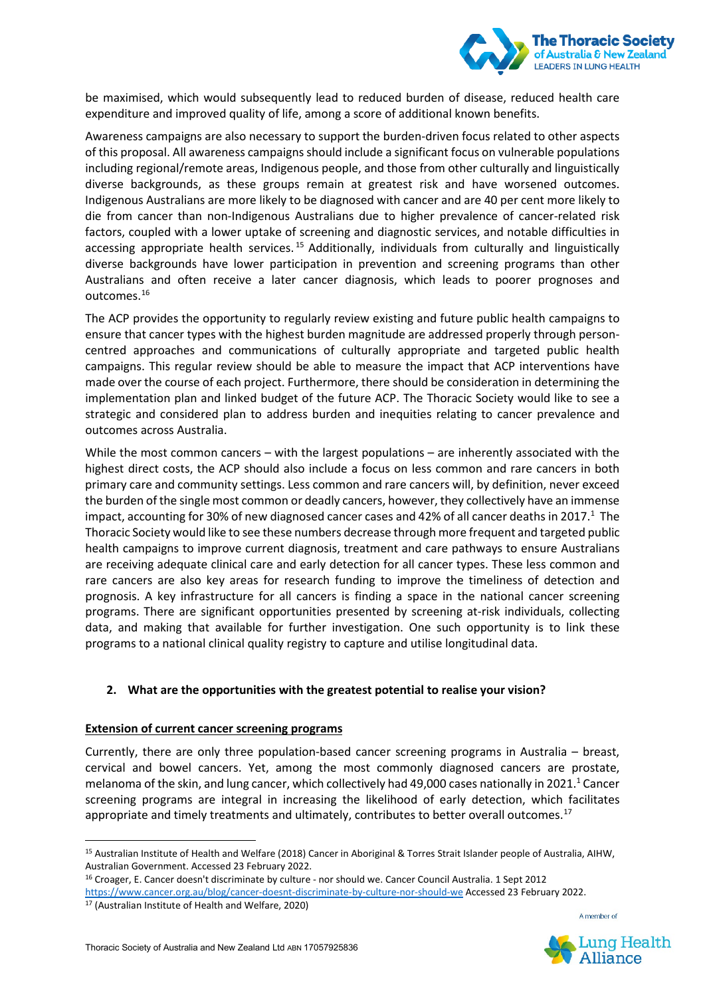

be maximised, which would subsequently lead to reduced burden of disease, reduced health care expenditure and improved quality of life, among a score of additional known benefits.

Awareness campaigns are also necessary to support the burden-driven focus related to other aspects of this proposal. All awareness campaigns should include a significant focus on vulnerable populations including regional/remote areas, Indigenous people, and those from other culturally and linguistically diverse backgrounds, as these groups remain at greatest risk and have worsened outcomes. Indigenous Australians are more likely to be diagnosed with cancer and are 40 per cent more likely to die from cancer than non-Indigenous Australians due to higher prevalence of cancer-related risk factors, coupled with a lower uptake of screening and diagnostic services, and notable difficulties in accessing appropriate health services.<sup>[15](#page-3-0)</sup> Additionally, individuals from culturally and linguistically diverse backgrounds have lower participation in prevention and screening programs than other Australians and often receive a later cancer diagnosis, which leads to poorer prognoses and outcomes. [16](#page-3-1)

The ACP provides the opportunity to regularly review existing and future public health campaigns to ensure that cancer types with the highest burden magnitude are addressed properly through personcentred approaches and communications of culturally appropriate and targeted public health campaigns. This regular review should be able to measure the impact that ACP interventions have made over the course of each project. Furthermore, there should be consideration in determining the implementation plan and linked budget of the future ACP. The Thoracic Society would like to see a strategic and considered plan to address burden and inequities relating to cancer prevalence and outcomes across Australia.

While the most common cancers – with the largest populations – are inherently associated with the highest direct costs, the ACP should also include a focus on less common and rare cancers in both primary care and community settings. Less common and rare cancers will, by definition, never exceed the burden of the single most common or deadly cancers, however, they collectively have an immense impact, accounting for 30% of new diagnosed cancer cases and 42% of all cancer deaths in 2017.<sup>1</sup> The Thoracic Society would like to see these numbers decrease through more frequent and targeted public health campaigns to improve current diagnosis, treatment and care pathways to ensure Australians are receiving adequate clinical care and early detection for all cancer types. These less common and rare cancers are also key areas for research funding to improve the timeliness of detection and prognosis. A key infrastructure for all cancers is finding a space in the national cancer screening programs. There are significant opportunities presented by screening at-risk individuals, collecting data, and making that available for further investigation. One such opportunity is to link these programs to a national clinical quality registry to capture and utilise longitudinal data.

# **2. What are the opportunities with the greatest potential to realise your vision?**

# **Extension of current cancer screening programs**

Currently, there are only three population-based cancer screening programs in Australia – breast, cervical and bowel cancers. Yet, among the most commonly diagnosed cancers are prostate, melanoma of the skin, and lung cancer, which collectively had 49,000 cases nationally in 2021.<sup>1</sup> Cancer screening programs are integral in increasing the likelihood of early detection, which facilitates appropriate and timely treatments and ultimately, contributes to better overall outcomes.<sup>[17](#page-3-2)</sup>





<span id="page-3-0"></span><sup>15</sup> Australian Institute of Health and Welfare (2018) Cancer in Aboriginal & Torres Strait Islander people of Australia, AIHW, Australian Government. Accessed 23 February 2022.

<span id="page-3-1"></span><sup>16</sup> Croager, E. Cancer doesn't discriminate by culture - nor should we. Cancer Council Australia. 1 Sept 2012

<span id="page-3-2"></span><https://www.cancer.org.au/blog/cancer-doesnt-discriminate-by-culture-nor-should-we> Accessed 23 February 2022.

<sup>17</sup> (Australian Institute of Health and Welfare, 2020)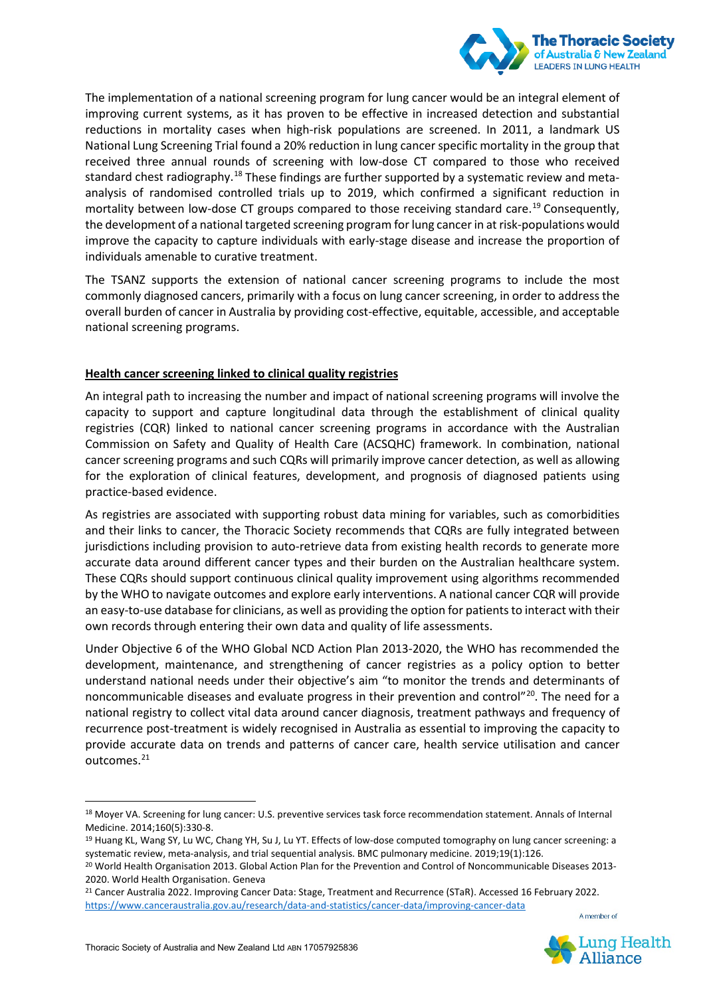

The implementation of a national screening program for lung cancer would be an integral element of improving current systems, as it has proven to be effective in increased detection and substantial reductions in mortality cases when high-risk populations are screened. In 2011, a landmark US National Lung Screening Trial found a 20% reduction in lung cancer specific mortality in the group that received three annual rounds of screening with low-dose CT compared to those who received standard chest radiography.<sup>[18](#page-4-0)</sup> These findings are further supported by a systematic review and metaanalysis of randomised controlled trials up to 2019, which confirmed a significant reduction in mortality between low-dose CT groups compared to those receiving standard care.<sup>[19](#page-4-1)</sup> Consequently, the development of a national targeted screening program for lung cancer in at risk-populations would improve the capacity to capture individuals with early-stage disease and increase the proportion of individuals amenable to curative treatment.

The TSANZ supports the extension of national cancer screening programs to include the most commonly diagnosed cancers, primarily with a focus on lung cancer screening, in order to address the overall burden of cancer in Australia by providing cost-effective, equitable, accessible, and acceptable national screening programs.

# **Health cancer screening linked to clinical quality registries**

An integral path to increasing the number and impact of national screening programs will involve the capacity to support and capture longitudinal data through the establishment of clinical quality registries (CQR) linked to national cancer screening programs in accordance with the Australian Commission on Safety and Quality of Health Care (ACSQHC) framework. In combination, national cancer screening programs and such CQRs will primarily improve cancer detection, as well as allowing for the exploration of clinical features, development, and prognosis of diagnosed patients using practice-based evidence.

As registries are associated with supporting robust data mining for variables, such as comorbidities and their links to cancer, the Thoracic Society recommends that CQRs are fully integrated between jurisdictions including provision to auto-retrieve data from existing health records to generate more accurate data around different cancer types and their burden on the Australian healthcare system. These CQRs should support continuous clinical quality improvement using algorithms recommended by the WHO to navigate outcomes and explore early interventions. A national cancer CQR will provide an easy-to-use database for clinicians, as well as providing the option for patients to interact with their own records through entering their own data and quality of life assessments.

Under Objective 6 of the WHO Global NCD Action Plan 2013-2020, the WHO has recommended the development, maintenance, and strengthening of cancer registries as a policy option to better understand national needs under their objective's aim "to monitor the trends and determinants of noncommunicable diseases and evaluate progress in their prevention and control"[20.](#page-4-2) The need for a national registry to collect vital data around cancer diagnosis, treatment pathways and frequency of recurrence post-treatment is widely recognised in Australia as essential to improving the capacity to provide accurate data on trends and patterns of cancer care, health service utilisation and cancer outcomes. [21](#page-4-3)



<span id="page-4-0"></span><sup>18</sup> Moyer VA. Screening for lung cancer: U.S. preventive services task force recommendation statement. Annals of Internal Medicine. 2014;160(5):330-8.

<span id="page-4-1"></span><sup>&</sup>lt;sup>19</sup> Huang KL, Wang SY, Lu WC, Chang YH, Su J, Lu YT. Effects of low-dose computed tomography on lung cancer screening: a systematic review, meta-analysis, and trial sequential analysis. BMC pulmonary medicine. 2019;19(1):126.

<span id="page-4-2"></span><sup>20</sup> World Health Organisation 2013. Global Action Plan for the Prevention and Control of Noncommunicable Diseases 2013- 2020. World Health Organisation. Geneva

<span id="page-4-3"></span><sup>&</sup>lt;sup>21</sup> Cancer Australia 2022. Improving Cancer Data: Stage, Treatment and Recurrence (STaR). Accessed 16 February 2022. <https://www.canceraustralia.gov.au/research/data-and-statistics/cancer-data/improving-cancer-data>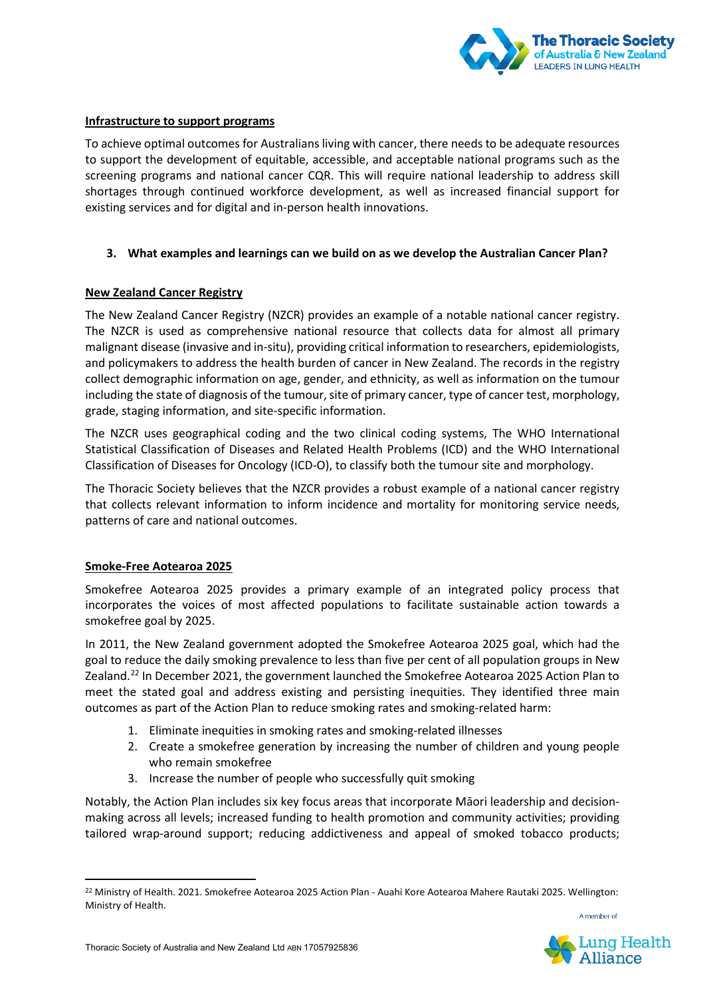

#### **Infrastructure to support programs**

To achieve optimal outcomes for Australians living with cancer, there needs to be adequate resources to support the development of equitable, accessible, and acceptable national programs such as the screening programs and national cancer CQR. This will require national leadership to address skill shortages through continued workforce development, as well as increased financial support for existing services and for digital and in-person health innovations.

#### **3. What examples and learnings can we build on as we develop the Australian Cancer Plan?**

#### **New Zealand Cancer Registry**

The New Zealand Cancer Registry (NZCR) provides an example of a notable national cancer registry. The NZCR is used as comprehensive national resource that collects data for almost all primary malignant disease (invasive and in-situ), providing critical information to researchers, epidemiologists, and policymakers to address the health burden of cancer in New Zealand. The records in the registry collect demographic information on age, gender, and ethnicity, as well as information on the tumour including the state of diagnosis of the tumour, site of primary cancer, type of cancer test, morphology, grade, staging information, and site-specific information.

The NZCR uses geographical coding and the two clinical coding systems, The WHO International Statistical Classification of Diseases and Related Health Problems (ICD) and the WHO International Classification of Diseases for Oncology (ICD-O), to classify both the tumour site and morphology.

The Thoracic Society believes that the NZCR provides a robust example of a national cancer registry that collects relevant information to inform incidence and mortality for monitoring service needs, patterns of care and national outcomes.

#### **Smoke-Free Aotearoa 2025**

Smokefree Aotearoa 2025 provides a primary example of an integrated policy process that incorporates the voices of most affected populations to facilitate sustainable action towards a smokefree goal by 2025.

In 2011, the New Zealand government adopted the Smokefree Aotearoa 2025 goal, which had the goal to reduce the daily smoking prevalence to less than five per cent of all population groups in New Zealand.<sup>[22](#page-5-0)</sup> In December 2021, the government launched the Smokefree Aotearoa 2025 Action Plan to meet the stated goal and address existing and persisting inequities. They identified three main outcomes as part of the Action Plan to reduce smoking rates and smoking-related harm:

- 1. Eliminate inequities in smoking rates and smoking-related illnesses
- 2. Create a smokefree generation by increasing the number of children and young people who remain smokefree
- 3. Increase the number of people who successfully quit smoking

Notably, the Action Plan includes six key focus areas that incorporate Māori leadership and decisionmaking across all levels; increased funding to health promotion and community activities; providing tailored wrap-around support; reducing addictiveness and appeal of smoked tobacco products;



<span id="page-5-0"></span><sup>&</sup>lt;sup>22</sup> Ministry of Health. 2021. Smokefree Aotearoa 2025 Action Plan - Auahi Kore Aotearoa Mahere Rautaki 2025. Wellington: Ministry of Health.